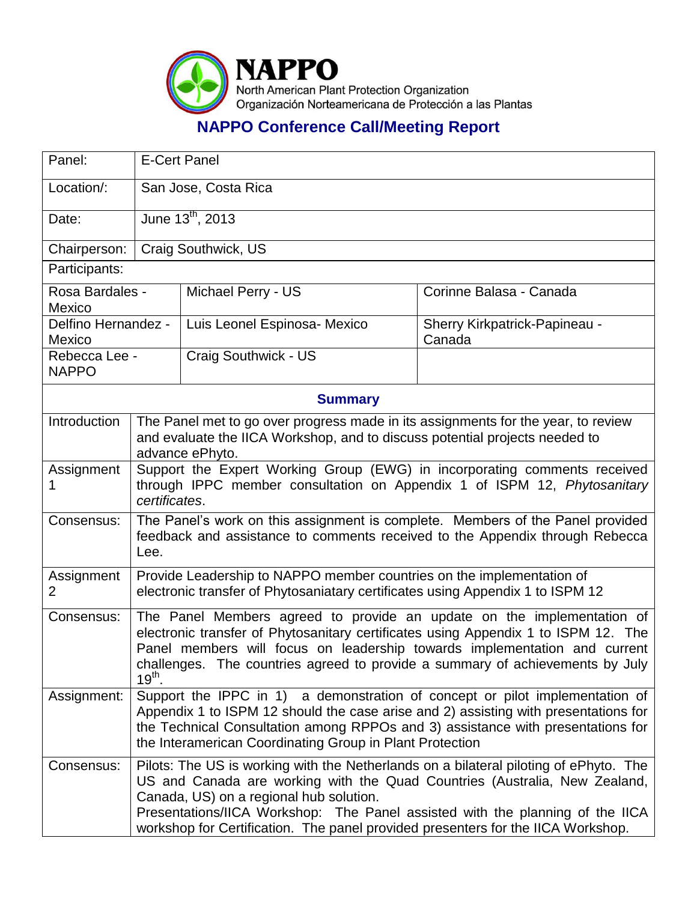

## **NAPPO Conference Call/Meeting Report**

| Panel:                        | <b>E-Cert Panel</b>                                                                                                                                                                                                                                                                                                                                                                 |                              |                                         |  |  |  |
|-------------------------------|-------------------------------------------------------------------------------------------------------------------------------------------------------------------------------------------------------------------------------------------------------------------------------------------------------------------------------------------------------------------------------------|------------------------------|-----------------------------------------|--|--|--|
| Location/:                    |                                                                                                                                                                                                                                                                                                                                                                                     | San Jose, Costa Rica         |                                         |  |  |  |
| Date:                         |                                                                                                                                                                                                                                                                                                                                                                                     | June $13^{th}$ , 2013        |                                         |  |  |  |
| Chairperson:                  | Craig Southwick, US                                                                                                                                                                                                                                                                                                                                                                 |                              |                                         |  |  |  |
| Participants:                 |                                                                                                                                                                                                                                                                                                                                                                                     |                              |                                         |  |  |  |
| Rosa Bardales -<br>Mexico     |                                                                                                                                                                                                                                                                                                                                                                                     | Michael Perry - US           | Corinne Balasa - Canada                 |  |  |  |
| Delfino Hernandez -<br>Mexico |                                                                                                                                                                                                                                                                                                                                                                                     | Luis Leonel Espinosa- Mexico | Sherry Kirkpatrick-Papineau -<br>Canada |  |  |  |
| Rebecca Lee -<br><b>NAPPO</b> |                                                                                                                                                                                                                                                                                                                                                                                     | Craig Southwick - US         |                                         |  |  |  |
| <b>Summary</b>                |                                                                                                                                                                                                                                                                                                                                                                                     |                              |                                         |  |  |  |
| Introduction                  | The Panel met to go over progress made in its assignments for the year, to review<br>and evaluate the IICA Workshop, and to discuss potential projects needed to<br>advance ePhyto.                                                                                                                                                                                                 |                              |                                         |  |  |  |
| Assignment<br>1               | Support the Expert Working Group (EWG) in incorporating comments received<br>through IPPC member consultation on Appendix 1 of ISPM 12, Phytosanitary<br>certificates.                                                                                                                                                                                                              |                              |                                         |  |  |  |
| Consensus:                    | The Panel's work on this assignment is complete. Members of the Panel provided<br>feedback and assistance to comments received to the Appendix through Rebecca<br>Lee.                                                                                                                                                                                                              |                              |                                         |  |  |  |
| Assignment<br>2               | Provide Leadership to NAPPO member countries on the implementation of<br>electronic transfer of Phytosaniatary certificates using Appendix 1 to ISPM 12                                                                                                                                                                                                                             |                              |                                         |  |  |  |
| Consensus:                    | The Panel Members agreed to provide an update on the implementation of<br>electronic transfer of Phytosanitary certificates using Appendix 1 to ISPM 12. The<br>Panel members will focus on leadership towards implementation and current<br>challenges. The countries agreed to provide a summary of achievements by July<br>$19th$ .                                              |                              |                                         |  |  |  |
| Assignment:                   | Support the IPPC in 1) a demonstration of concept or pilot implementation of<br>Appendix 1 to ISPM 12 should the case arise and 2) assisting with presentations for<br>the Technical Consultation among RPPOs and 3) assistance with presentations for<br>the Interamerican Coordinating Group in Plant Protection                                                                  |                              |                                         |  |  |  |
| Consensus:                    | Pilots: The US is working with the Netherlands on a bilateral piloting of ePhyto. The<br>US and Canada are working with the Quad Countries (Australia, New Zealand,<br>Canada, US) on a regional hub solution.<br>Presentations/IICA Workshop: The Panel assisted with the planning of the IICA<br>workshop for Certification. The panel provided presenters for the IICA Workshop. |                              |                                         |  |  |  |